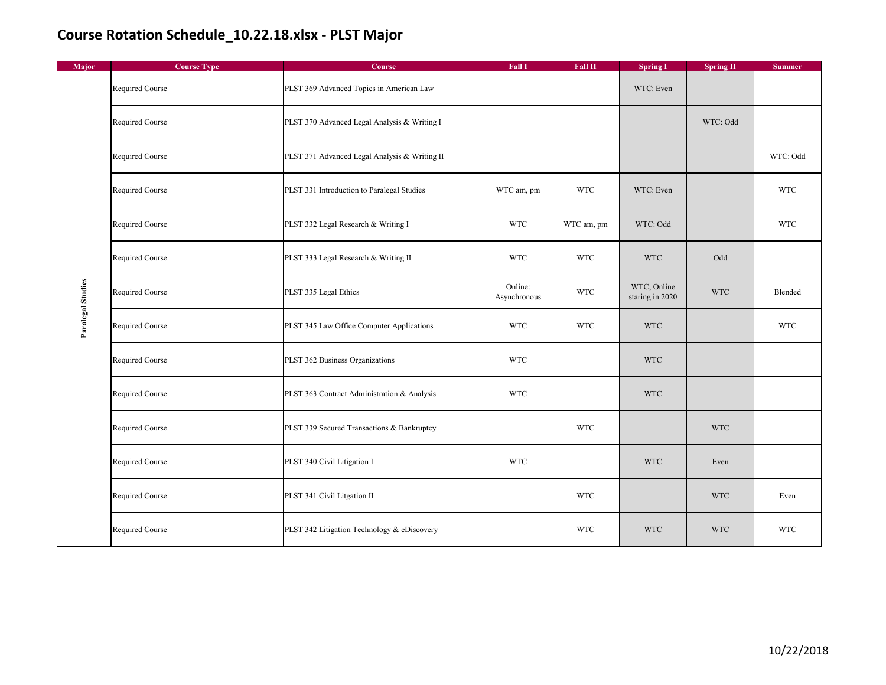## **Course Rotation Schedule\_10.22.18.xlsx - PLST Major**

| Major             | <b>Course Type</b> | Course                                        | Fall I                  | <b>Fall II</b> | <b>Spring I</b>                | <b>Spring II</b> | <b>Summer</b> |
|-------------------|--------------------|-----------------------------------------------|-------------------------|----------------|--------------------------------|------------------|---------------|
| Paralegal Studies | Required Course    | PLST 369 Advanced Topics in American Law      |                         |                | WTC: Even                      |                  |               |
|                   | Required Course    | PLST 370 Advanced Legal Analysis & Writing I  |                         |                |                                | WTC: Odd         |               |
|                   | Required Course    | PLST 371 Advanced Legal Analysis & Writing II |                         |                |                                |                  | WTC: Odd      |
|                   | Required Course    | PLST 331 Introduction to Paralegal Studies    | WTC am, pm              | <b>WTC</b>     | WTC: Even                      |                  | <b>WTC</b>    |
|                   | Required Course    | PLST 332 Legal Research & Writing I           | <b>WTC</b>              | WTC am, pm     | WTC: Odd                       |                  | <b>WTC</b>    |
|                   | Required Course    | PLST 333 Legal Research & Writing II          | <b>WTC</b>              | <b>WTC</b>     | <b>WTC</b>                     | Odd              |               |
|                   | Required Course    | PLST 335 Legal Ethics                         | Online:<br>Asynchronous | <b>WTC</b>     | WTC; Online<br>staring in 2020 | <b>WTC</b>       | Blended       |
|                   | Required Course    | PLST 345 Law Office Computer Applications     | <b>WTC</b>              | <b>WTC</b>     | <b>WTC</b>                     |                  | <b>WTC</b>    |
|                   | Required Course    | PLST 362 Business Organizations               | <b>WTC</b>              |                | <b>WTC</b>                     |                  |               |
|                   | Required Course    | PLST 363 Contract Administration & Analysis   | <b>WTC</b>              |                | <b>WTC</b>                     |                  |               |
|                   | Required Course    | PLST 339 Secured Transactions & Bankruptcy    |                         | <b>WTC</b>     |                                | <b>WTC</b>       |               |
|                   | Required Course    | PLST 340 Civil Litigation I                   | <b>WTC</b>              |                | <b>WTC</b>                     | Even             |               |
|                   | Required Course    | PLST 341 Civil Litgation II                   |                         | <b>WTC</b>     |                                | <b>WTC</b>       | Even          |
|                   | Required Course    | PLST 342 Litigation Technology & eDiscovery   |                         | <b>WTC</b>     | <b>WTC</b>                     | <b>WTC</b>       | <b>WTC</b>    |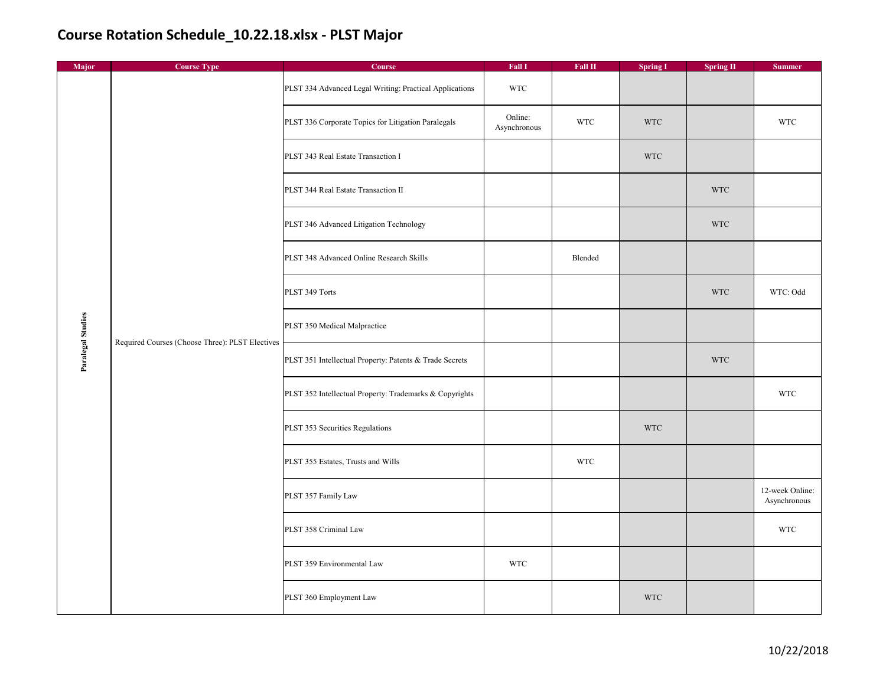## **Course Rotation Schedule\_10.22.18.xlsx - PLST Major**

| Major             | <b>Course Type</b>                              | Course                                                  | Fall I                  | Fall II    | <b>Spring I</b> | <b>Spring II</b> | <b>Summer</b>                   |
|-------------------|-------------------------------------------------|---------------------------------------------------------|-------------------------|------------|-----------------|------------------|---------------------------------|
| Paralegal Studies | Required Courses (Choose Three): PLST Electives | PLST 334 Advanced Legal Writing: Practical Applications | <b>WTC</b>              |            |                 |                  |                                 |
|                   |                                                 | PLST 336 Corporate Topics for Litigation Paralegals     | Online:<br>Asynchronous | <b>WTC</b> | <b>WTC</b>      |                  | <b>WTC</b>                      |
|                   |                                                 | PLST 343 Real Estate Transaction I                      |                         |            | <b>WTC</b>      |                  |                                 |
|                   |                                                 | PLST 344 Real Estate Transaction II                     |                         |            |                 | <b>WTC</b>       |                                 |
|                   |                                                 | PLST 346 Advanced Litigation Technology                 |                         |            |                 | <b>WTC</b>       |                                 |
|                   |                                                 | PLST 348 Advanced Online Research Skills                |                         | Blended    |                 |                  |                                 |
|                   |                                                 | PLST 349 Torts                                          |                         |            |                 | <b>WTC</b>       | WTC: Odd                        |
|                   |                                                 | PLST 350 Medical Malpractice                            |                         |            |                 |                  |                                 |
|                   |                                                 | PLST 351 Intellectual Property: Patents & Trade Secrets |                         |            |                 | <b>WTC</b>       |                                 |
|                   |                                                 | PLST 352 Intellectual Property: Trademarks & Copyrights |                         |            |                 |                  | <b>WTC</b>                      |
|                   |                                                 | PLST 353 Securities Regulations                         |                         |            | <b>WTC</b>      |                  |                                 |
|                   |                                                 | PLST 355 Estates, Trusts and Wills                      |                         | <b>WTC</b> |                 |                  |                                 |
|                   |                                                 | PLST 357 Family Law                                     |                         |            |                 |                  | 12-week Online:<br>Asynchronous |
|                   |                                                 | PLST 358 Criminal Law                                   |                         |            |                 |                  | $_{\rm WTC}$                    |
|                   |                                                 | PLST 359 Environmental Law                              | <b>WTC</b>              |            |                 |                  |                                 |
|                   |                                                 | PLST 360 Employment Law                                 |                         |            | <b>WTC</b>      |                  |                                 |